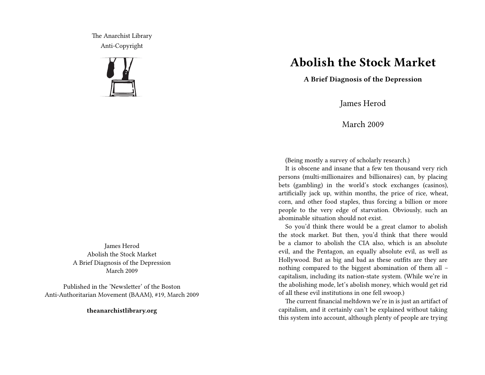The Anarchist Library Anti-Copyright



James Herod Abolish the Stock Market A Brief Diagnosis of the Depression March 2009

Published in the 'Newsletter' of the Boston Anti-Authoritarian Movement (BAAM), #19, March 2009

**theanarchistlibrary.org**

## **Abolish the Stock Market**

**A Brief Diagnosis of the Depression**

James Herod

March 2009

(Being mostly a survey of scholarly research.)

It is obscene and insane that a few ten thousand very rich persons (multi-millionaires and billionaires) can, by placing bets (gambling) in the world's stock exchanges (casinos), artificially jack up, within months, the price of rice, wheat, corn, and other food staples, thus forcing a billion or more people to the very edge of starvation. Obviously, such an abominable situation should not exist.

So you'd think there would be a great clamor to abolish the stock market. But then, you'd think that there would be a clamor to abolish the CIA also, which is an absolute evil, and the Pentagon, an equally absolute evil, as well as Hollywood. But as big and bad as these outfits are they are nothing compared to the biggest abomination of them all – capitalism, including its nation-state system. (While we're in the abolishing mode, let's abolish money, which would get rid of all these evil institutions in one fell swoop.)

The current financial meltdown we're in is just an artifact of capitalism, and it certainly can't be explained without taking this system into account, although plenty of people are trying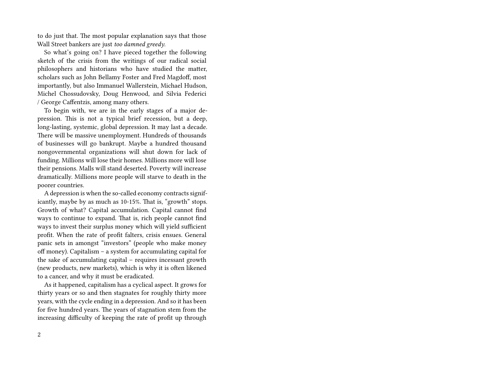to do just that. The most popular explanation says that those Wall Street bankers are just *too damned greedy*.

So what's going on? I have pieced together the following sketch of the crisis from the writings of our radical social philosophers and historians who have studied the matter, scholars such as John Bellamy Foster and Fred Magdoff, most importantly, but also Immanuel Wallerstein, Michael Hudson, Michel Chossudovsky, Doug Henwood, and Silvia Federici / George Caffentzis, among many others.

To begin with, we are in the early stages of a major depression. This is not a typical brief recession, but a deep, long-lasting, systemic, global depression. It may last a decade. There will be massive unemployment. Hundreds of thousands of businesses will go bankrupt. Maybe a hundred thousand nongovernmental organizations will shut down for lack of funding. Millions will lose their homes. Millions more will lose their pensions. Malls will stand deserted. Poverty will increase dramatically. Millions more people will starve to death in the poorer countries.

A depression is when the so-called economy contracts significantly, maybe by as much as 10-15%. That is, "growth" stops. Growth of what? Capital accumulation. Capital cannot find ways to continue to expand. That is, rich people cannot find ways to invest their surplus money which will yield sufficient profit. When the rate of profit falters, crisis ensues. General panic sets in amongst "investors" (people who make money off money). Capitalism – a system for accumulating capital for the sake of accumulating capital – requires incessant growth (new products, new markets), which is why it is often likened to a cancer, and why it must be eradicated.

As it happened, capitalism has a cyclical aspect. It grows for thirty years or so and then stagnates for roughly thirty more years, with the cycle ending in a depression. And so it has been for five hundred years. The years of stagnation stem from the increasing difficulty of keeping the rate of profit up through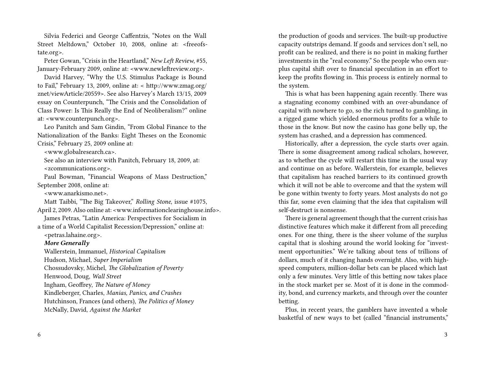Silvia Federici and George Caffentzis, "Notes on the Wall Street Meltdown," October 10, 2008, online at: <freeofstate.org>.

Peter Gowan, "Crisis in the Heartland," *New Left Review*, #55, January-February 2009, online at: <www.newleftreview.org>.

David Harvey, "Why the U.S. Stimulus Package is Bound to Fail," February 13, 2009, online at: < http://www.zmag.org/ znet/viewArticle/20559>. See also Harvey's March 13/15, 2009 essay on Counterpunch, "The Crisis and the Consolidation of Class Power: Is This Really the End of Neoliberalism?" online at: <www.counterpunch.org>.

Leo Panitch and Sam Gindin, "From Global Finance to the Nationalization of the Banks: Eight Theses on the Economic Crisis," February 25, 2009 online at:

<www.globalresearch.ca>.

See also an interview with Panitch, February 18, 2009, at: <zcommunications.org>.

Paul Bowman, "Financial Weapons of Mass Destruction," September 2008, online at:

<www.anarkismo.net>.

Matt Taibbi, "The Big Takeover," *Rolling Stone*, issue #1075, April 2, 2009. Also online at: <www.informationclearinghouse.info>.

James Petras, "Latin America: Perspectives for Socialism in a time of a World Capitalist Recession/Depression," online at:

<petras.lahaine.org>.

## *More Generally*

Wallerstein, Immanuel, *Historical Capitalism* Hudson, Michael, *Super Imperialism* Chossudovsky, Michel, *The Globalization of Poverty* Henwood, Doug, *Wall Street* Ingham, Geoffrey, *The Nature of Money* Kindleberger, Charles, *Manias, Panics, and Crashes* Hutchinson, Frances (and others), *The Politics of Money* McNally, David, *Against the Market*

6

the production of goods and services. The built-up productive capacity outstrips demand. If goods and services don't sell, no profit can be realized, and there is no point in making further investments in the "real economy." So the people who own surplus capital shift over to financial speculation in an effort to keep the profits flowing in. This process is entirely normal to the system.

This is what has been happening again recently. There was a stagnating economy combined with an over-abundance of capital with nowhere to go, so the rich turned to gambling, in a rigged game which yielded enormous profits for a while to those in the know. But now the casino has gone belly up, the system has crashed, and a depression has commenced.

Historically, after a depression, the cycle starts over again. There is some disagreement among radical scholars, however, as to whether the cycle will restart this time in the usual way and continue on as before. Wallerstein, for example, believes that capitalism has reached barriers to its continued growth which it will not be able to overcome and that the system will be gone within twenty to forty years. Most analysts do not go this far, some even claiming that the idea that capitalism will self-destruct is nonsense.

There is general agreement though that the current crisis has distinctive features which make it different from all preceding ones. For one thing, there is the sheer volume of the surplus capital that is sloshing around the world looking for "investment opportunities." We're talking about tens of trillions of dollars, much of it changing hands overnight. Also, with highspeed computers, million-dollar bets can be placed which last only a few minutes. Very little of this betting now takes place in the stock market per se. Most of it is done in the commodity, bond, and currency markets, and through over the counter betting.

Plus, in recent years, the gamblers have invented a whole basketful of new ways to bet (called "financial instruments,"